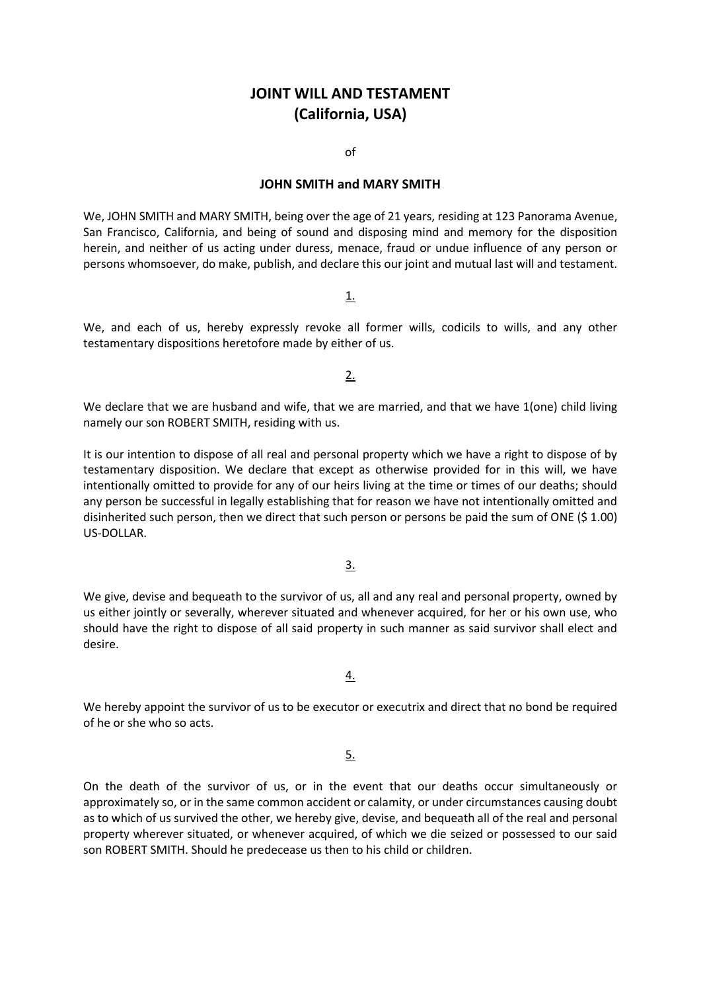## **JOINT WILL AND TESTAMENT (California, USA)**

of

## **JOHN SMITH and MARY SMITH**

We, JOHN SMITH and MARY SMITH, being over the age of 21 years, residing at 123 Panorama Avenue, San Francisco, California, and being of sound and disposing mind and memory for the disposition herein, and neither of us acting under duress, menace, fraud or undue influence of any person or persons whomsoever, do make, publish, and declare this our joint and mutual last will and testament.

1.

We, and each of us, hereby expressly revoke all former wills, codicils to wills, and any other testamentary dispositions heretofore made by either of us.

2.

We declare that we are husband and wife, that we are married, and that we have 1(one) child living namely our son ROBERT SMITH, residing with us.

It is our intention to dispose of all real and personal property which we have a right to dispose of by testamentary disposition. We declare that except as otherwise provided for in this will, we have intentionally omitted to provide for any of our heirs living at the time or times of our deaths; should any person be successful in legally establishing that for reason we have not intentionally omitted and disinherited such person, then we direct that such person or persons be paid the sum of ONE (\$ 1.00) US-DOLLAR.

3.

We give, devise and bequeath to the survivor of us, all and any real and personal property, owned by us either jointly or severally, wherever situated and whenever acquired, for her or his own use, who should have the right to dispose of all said property in such manner as said survivor shall elect and desire.

4.

We hereby appoint the survivor of us to be executor or executrix and direct that no bond be required of he or she who so acts.

5.

On the death of the survivor of us, or in the event that our deaths occur simultaneously or approximately so, or in the same common accident or calamity, or under circumstances causing doubt as to which of us survived the other, we hereby give, devise, and bequeath all of the real and personal property wherever situated, or whenever acquired, of which we die seized or possessed to our said son ROBERT SMITH. Should he predecease us then to his child or children.